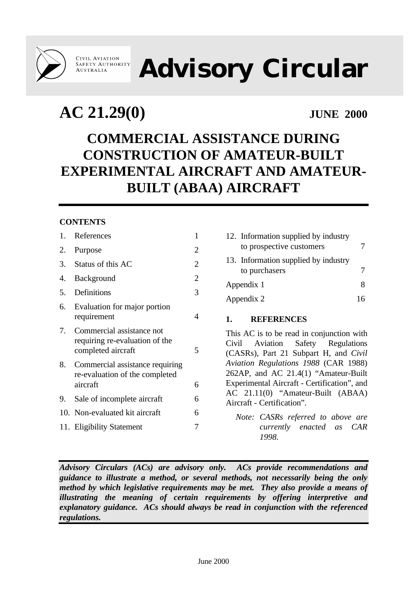**CIVIL AVIATION<br>SAFETY AUTHORITY AUSTRALIA** 

# **Advisory Circular**

## **AC 21.29(0) JUNE 2000**

### **COMMERCIAL ASSISTANCE DURING CONSTRUCTION OF AMATEUR-BUILT EXPERIMENTAL AIRCRAFT AND AMATEUR-BUILT (ABAA) AIRCRAFT**

#### **CONTENTS**

| 1. | References                                                                        | 1              |
|----|-----------------------------------------------------------------------------------|----------------|
| 2. | Purpose                                                                           | 2              |
| 3. | Status of this AC                                                                 | $\overline{2}$ |
| 4. | Background                                                                        | $\overline{2}$ |
| 5. | Definitions                                                                       | 3              |
| 6. | Evaluation for major portion<br>requirement                                       | 4              |
| 7. | Commercial assistance not<br>requiring re-evaluation of the<br>completed aircraft | 5              |
| 8. | Commercial assistance requiring<br>re-evaluation of the completed<br>aircraft     | 6              |
| 9. | Sale of incomplete aircraft                                                       | 6              |
|    | 10. Non-evaluated kit aircraft                                                    | 6              |
|    | 11. Eligibility Statement                                                         | 7              |
|    |                                                                                   |                |

| 12. Information supplied by industry<br>to prospective customers |   |
|------------------------------------------------------------------|---|
| 13. Information supplied by industry<br>to purchasers            |   |
| Appendix 1                                                       | x |
| Appendix 2                                                       |   |

#### **1. REFERENCES**

This AC is to be read in conjunction with Civil Aviation Safety Regulations (CASRs), Part 21 Subpart H, and *Civil Aviation Regulations 1988* (CAR 1988) 262AP, and AC 21.4(1) "Amateur-Built Experimental Aircraft - Certification", and AC 21.11(0) "Amateur-Built (ABAA) Aircraft - Certification".

*Note: CASRs referred to above are currently enacted as CAR 1998.*

*Advisory Circulars (ACs) are advisory only. ACs provide recommendations and guidance to illustrate a method, or several methods, not necessarily being the only method by which legislative requirements may be met. They also provide a means of illustrating the meaning of certain requirements by offering interpretive and explanatory guidance. ACs should always be read in conjunction with the referenced regulations.*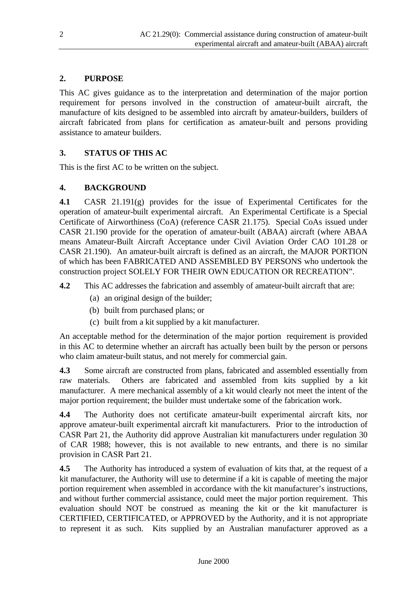#### **2. PURPOSE**

This AC gives guidance as to the interpretation and determination of the major portion requirement for persons involved in the construction of amateur-built aircraft, the manufacture of kits designed to be assembled into aircraft by amateur-builders, builders of aircraft fabricated from plans for certification as amateur-built and persons providing assistance to amateur builders.

#### **3. STATUS OF THIS AC**

This is the first AC to be written on the subject.

#### **4. BACKGROUND**

**4.1** CASR 21.191(g) provides for the issue of Experimental Certificates for the operation of amateur-built experimental aircraft. An Experimental Certificate is a Special Certificate of Airworthiness (CoA) (reference CASR 21.175). Special CoAs issued under CASR 21.190 provide for the operation of amateur-built (ABAA) aircraft (where ABAA means Amateur-Built Aircraft Acceptance under Civil Aviation Order CAO 101.28 or CASR 21.190). An amateur-built aircraft is defined as an aircraft, the MAJOR PORTION of which has been FABRICATED AND ASSEMBLED BY PERSONS who undertook the construction project SOLELY FOR THEIR OWN EDUCATION OR RECREATION".

**4.2** This AC addresses the fabrication and assembly of amateur-built aircraft that are:

- (a) an original design of the builder;
- (b) built from purchased plans; or
- (c) built from a kit supplied by a kit manufacturer.

An acceptable method for the determination of the major portion requirement is provided in this AC to determine whether an aircraft has actually been built by the person or persons who claim amateur-built status, and not merely for commercial gain.

**4.3** Some aircraft are constructed from plans, fabricated and assembled essentially from raw materials. Others are fabricated and assembled from kits supplied by a kit manufacturer. A mere mechanical assembly of a kit would clearly not meet the intent of the major portion requirement; the builder must undertake some of the fabrication work.

**4.4** The Authority does not certificate amateur-built experimental aircraft kits, nor approve amateur-built experimental aircraft kit manufacturers. Prior to the introduction of CASR Part 21, the Authority did approve Australian kit manufacturers under regulation 30 of CAR 1988; however, this is not available to new entrants, and there is no similar provision in CASR Part 21.

**4.5** The Authority has introduced a system of evaluation of kits that, at the request of a kit manufacturer, the Authority will use to determine if a kit is capable of meeting the major portion requirement when assembled in accordance with the kit manufacturer's instructions, and without further commercial assistance, could meet the major portion requirement. This evaluation should NOT be construed as meaning the kit or the kit manufacturer is CERTIFIED, CERTIFICATED, or APPROVED by the Authority, and it is not appropriate to represent it as such. Kits supplied by an Australian manufacturer approved as a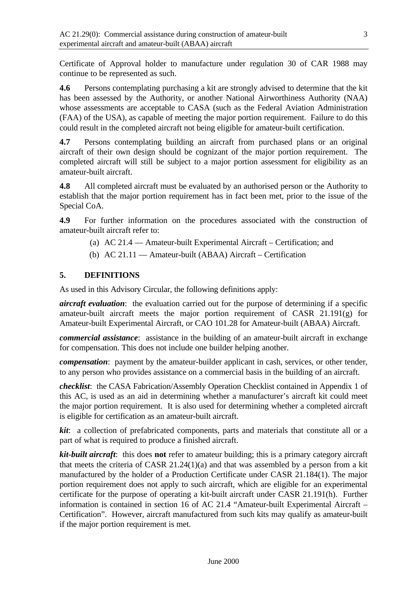Certificate of Approval holder to manufacture under regulation 30 of CAR 1988 may continue to be represented as such.

**4.6** Persons contemplating purchasing a kit are strongly advised to determine that the kit has been assessed by the Authority, or another National Airworthiness Authority (NAA) whose assessments are acceptable to CASA (such as the Federal Aviation Administration (FAA) of the USA), as capable of meeting the major portion requirement. Failure to do this could result in the completed aircraft not being eligible for amateur-built certification.

**4.7** Persons contemplating building an aircraft from purchased plans or an original aircraft of their own design should be cognizant of the major portion requirement. The completed aircraft will still be subject to a major portion assessment for eligibility as an amateur-built aircraft.

**4.8** All completed aircraft must be evaluated by an authorised person or the Authority to establish that the major portion requirement has in fact been met, prior to the issue of the Special CoA.

**4.9** For further information on the procedures associated with the construction of amateur-built aircraft refer to:

- (a) AC 21.4 Amateur-built Experimental Aircraft Certification; and
- (b) AC 21.11 Amateur-built (ABAA) Aircraft Certification

#### **5. DEFINITIONS**

As used in this Advisory Circular, the following definitions apply:

*aircraft evaluation*: the evaluation carried out for the purpose of determining if a specific amateur-built aircraft meets the major portion requirement of CASR 21.191(g) for Amateur-built Experimental Aircraft, or CAO 101.28 for Amateur-built (ABAA) Aircraft.

*commercial assistance*: assistance in the building of an amateur-built aircraft in exchange for compensation. This does not include one builder helping another.

*compensation*: payment by the amateur-builder applicant in cash, services, or other tender, to any person who provides assistance on a commercial basis in the building of an aircraft.

*checklist*: the CASA Fabrication/Assembly Operation Checklist contained in Appendix 1 of this AC, is used as an aid in determining whether a manufacturer's aircraft kit could meet the major portion requirement. It is also used for determining whether a completed aircraft is eligible for certification as an amateur-built aircraft.

*kit*: a collection of prefabricated components, parts and materials that constitute all or a part of what is required to produce a finished aircraft.

*kit-built aircraft*: this does **not** refer to amateur building; this is a primary category aircraft that meets the criteria of CASR 21.24(1)(a) and that was assembled by a person from a kit manufactured by the holder of a Production Certificate under CASR 21.184(1). The major portion requirement does not apply to such aircraft, which are eligible for an experimental certificate for the purpose of operating a kit-built aircraft under CASR 21.191(h). Further information is contained in section 16 of AC 21.4 "Amateur-built Experimental Aircraft – Certification". However, aircraft manufactured from such kits may qualify as amateur-built if the major portion requirement is met.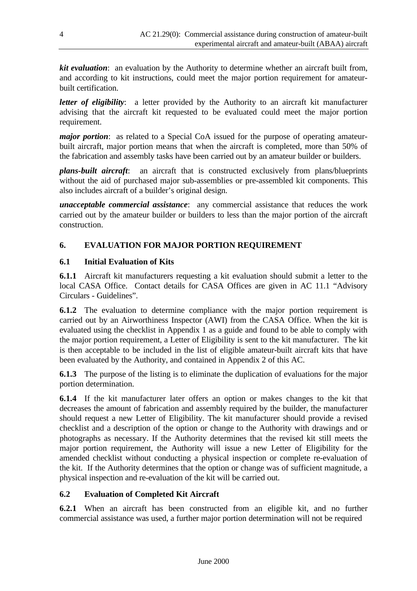*kit evaluation*: an evaluation by the Authority to determine whether an aircraft built from, and according to kit instructions, could meet the major portion requirement for amateurbuilt certification.

*letter of eligibility*: a letter provided by the Authority to an aircraft kit manufacturer advising that the aircraft kit requested to be evaluated could meet the major portion requirement.

*major portion*: as related to a Special CoA issued for the purpose of operating amateurbuilt aircraft, major portion means that when the aircraft is completed, more than 50% of the fabrication and assembly tasks have been carried out by an amateur builder or builders.

*plans-built aircraft*: an aircraft that is constructed exclusively from plans/blueprints without the aid of purchased major sub-assemblies or pre-assembled kit components. This also includes aircraft of a builder's original design.

*unacceptable commercial assistance*: any commercial assistance that reduces the work carried out by the amateur builder or builders to less than the major portion of the aircraft construction.

#### **6. EVALUATION FOR MAJOR PORTION REQUIREMENT**

#### **6.1 Initial Evaluation of Kits**

**6.1.1** Aircraft kit manufacturers requesting a kit evaluation should submit a letter to the local CASA Office. Contact details for CASA Offices are given in AC 11.1 "Advisory Circulars - Guidelines".

**6.1.2** The evaluation to determine compliance with the major portion requirement is carried out by an Airworthiness Inspector (AWI) from the CASA Office. When the kit is evaluated using the checklist in Appendix 1 as a guide and found to be able to comply with the major portion requirement, a Letter of Eligibility is sent to the kit manufacturer. The kit is then acceptable to be included in the list of eligible amateur-built aircraft kits that have been evaluated by the Authority, and contained in Appendix 2 of this AC.

**6.1.3** The purpose of the listing is to eliminate the duplication of evaluations for the major portion determination.

**6.1.4** If the kit manufacturer later offers an option or makes changes to the kit that decreases the amount of fabrication and assembly required by the builder, the manufacturer should request a new Letter of Eligibility. The kit manufacturer should provide a revised checklist and a description of the option or change to the Authority with drawings and or photographs as necessary. If the Authority determines that the revised kit still meets the major portion requirement, the Authority will issue a new Letter of Eligibility for the amended checklist without conducting a physical inspection or complete re-evaluation of the kit. If the Authority determines that the option or change was of sufficient magnitude, a physical inspection and re-evaluation of the kit will be carried out.

#### **6.2 Evaluation of Completed Kit Aircraft**

**6.2.1** When an aircraft has been constructed from an eligible kit, and no further commercial assistance was used, a further major portion determination will not be required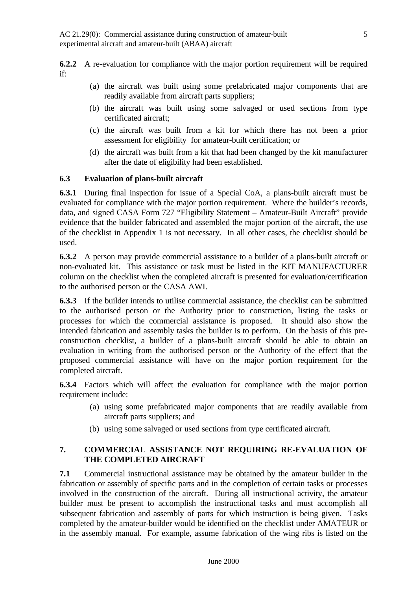**6.2.2** A re-evaluation for compliance with the major portion requirement will be required if:

- (a) the aircraft was built using some prefabricated major components that are readily available from aircraft parts suppliers;
- (b) the aircraft was built using some salvaged or used sections from type certificated aircraft;
- (c) the aircraft was built from a kit for which there has not been a prior assessment for eligibility for amateur-built certification; or
- (d) the aircraft was built from a kit that had been changed by the kit manufacturer after the date of eligibility had been established.

#### **6.3 Evaluation of plans-built aircraft**

**6.3.1** During final inspection for issue of a Special CoA, a plans-built aircraft must be evaluated for compliance with the major portion requirement. Where the builder's records, data, and signed CASA Form 727 "Eligibility Statement – Amateur-Built Aircraft" provide evidence that the builder fabricated and assembled the major portion of the aircraft, the use of the checklist in Appendix 1 is not necessary. In all other cases, the checklist should be used.

**6.3.2** A person may provide commercial assistance to a builder of a plans-built aircraft or non-evaluated kit. This assistance or task must be listed in the KIT MANUFACTURER column on the checklist when the completed aircraft is presented for evaluation/certification to the authorised person or the CASA AWI.

**6.3.3** If the builder intends to utilise commercial assistance, the checklist can be submitted to the authorised person or the Authority prior to construction, listing the tasks or processes for which the commercial assistance is proposed. It should also show the intended fabrication and assembly tasks the builder is to perform. On the basis of this preconstruction checklist, a builder of a plans-built aircraft should be able to obtain an evaluation in writing from the authorised person or the Authority of the effect that the proposed commercial assistance will have on the major portion requirement for the completed aircraft.

**6.3.4** Factors which will affect the evaluation for compliance with the major portion requirement include:

- (a) using some prefabricated major components that are readily available from aircraft parts suppliers; and
- (b) using some salvaged or used sections from type certificated aircraft.

#### **7. COMMERCIAL ASSISTANCE NOT REQUIRING RE-EVALUATION OF THE COMPLETED AIRCRAFT**

**7.1** Commercial instructional assistance may be obtained by the amateur builder in the fabrication or assembly of specific parts and in the completion of certain tasks or processes involved in the construction of the aircraft. During all instructional activity, the amateur builder must be present to accomplish the instructional tasks and must accomplish all subsequent fabrication and assembly of parts for which instruction is being given. Tasks completed by the amateur-builder would be identified on the checklist under AMATEUR or in the assembly manual. For example, assume fabrication of the wing ribs is listed on the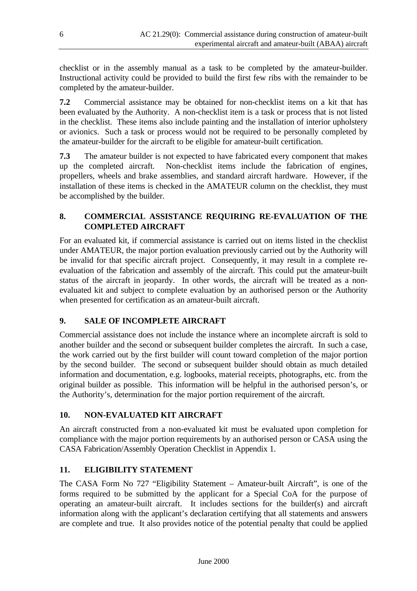checklist or in the assembly manual as a task to be completed by the amateur-builder. Instructional activity could be provided to build the first few ribs with the remainder to be completed by the amateur-builder.

**7.2** Commercial assistance may be obtained for non-checklist items on a kit that has been evaluated by the Authority. A non-checklist item is a task or process that is not listed in the checklist. These items also include painting and the installation of interior upholstery or avionics. Such a task or process would not be required to be personally completed by the amateur-builder for the aircraft to be eligible for amateur-built certification.

**7.3** The amateur builder is not expected to have fabricated every component that makes up the completed aircraft. Non-checklist items include the fabrication of engines, propellers, wheels and brake assemblies, and standard aircraft hardware. However, if the installation of these items is checked in the AMATEUR column on the checklist, they must be accomplished by the builder.

#### **8. COMMERCIAL ASSISTANCE REQUIRING RE-EVALUATION OF THE COMPLETED AIRCRAFT**

For an evaluated kit, if commercial assistance is carried out on items listed in the checklist under AMATEUR, the major portion evaluation previously carried out by the Authority will be invalid for that specific aircraft project. Consequently, it may result in a complete reevaluation of the fabrication and assembly of the aircraft. This could put the amateur-built status of the aircraft in jeopardy. In other words, the aircraft will be treated as a nonevaluated kit and subject to complete evaluation by an authorised person or the Authority when presented for certification as an amateur-built aircraft.

#### **9. SALE OF INCOMPLETE AIRCRAFT**

Commercial assistance does not include the instance where an incomplete aircraft is sold to another builder and the second or subsequent builder completes the aircraft. In such a case, the work carried out by the first builder will count toward completion of the major portion by the second builder. The second or subsequent builder should obtain as much detailed information and documentation, e.g. logbooks, material receipts, photographs, etc. from the original builder as possible. This information will be helpful in the authorised person's, or the Authority's, determination for the major portion requirement of the aircraft.

#### **10. NON-EVALUATED KIT AIRCRAFT**

An aircraft constructed from a non-evaluated kit must be evaluated upon completion for compliance with the major portion requirements by an authorised person or CASA using the CASA Fabrication/Assembly Operation Checklist in Appendix 1.

#### **11. ELIGIBILITY STATEMENT**

The CASA Form No 727 "Eligibility Statement – Amateur-built Aircraft", is one of the forms required to be submitted by the applicant for a Special CoA for the purpose of operating an amateur-built aircraft. It includes sections for the builder(s) and aircraft information along with the applicant's declaration certifying that all statements and answers are complete and true. It also provides notice of the potential penalty that could be applied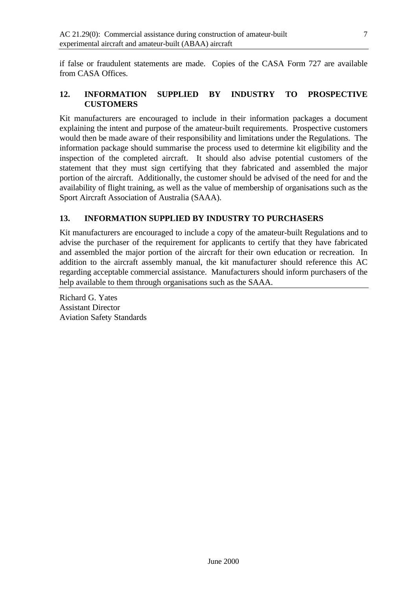if false or fraudulent statements are made. Copies of the CASA Form 727 are available from CASA Offices.

#### **12. INFORMATION SUPPLIED BY INDUSTRY TO PROSPECTIVE CUSTOMERS**

Kit manufacturers are encouraged to include in their information packages a document explaining the intent and purpose of the amateur-built requirements. Prospective customers would then be made aware of their responsibility and limitations under the Regulations. The information package should summarise the process used to determine kit eligibility and the inspection of the completed aircraft. It should also advise potential customers of the statement that they must sign certifying that they fabricated and assembled the major portion of the aircraft. Additionally, the customer should be advised of the need for and the availability of flight training, as well as the value of membership of organisations such as the Sport Aircraft Association of Australia (SAAA).

#### **13. INFORMATION SUPPLIED BY INDUSTRY TO PURCHASERS**

Kit manufacturers are encouraged to include a copy of the amateur-built Regulations and to advise the purchaser of the requirement for applicants to certify that they have fabricated and assembled the major portion of the aircraft for their own education or recreation. In addition to the aircraft assembly manual, the kit manufacturer should reference this AC regarding acceptable commercial assistance. Manufacturers should inform purchasers of the help available to them through organisations such as the SAAA.

Richard G. Yates Assistant Director Aviation Safety Standards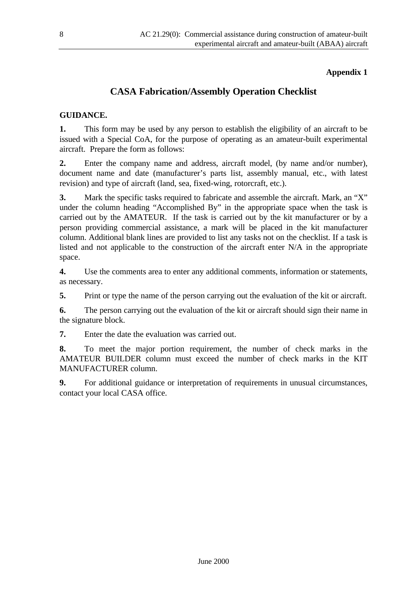#### **Appendix 1**

#### **CASA Fabrication/Assembly Operation Checklist**

#### **GUIDANCE.**

**1.** This form may be used by any person to establish the eligibility of an aircraft to be issued with a Special CoA, for the purpose of operating as an amateur-built experimental aircraft. Prepare the form as follows:

**2.** Enter the company name and address, aircraft model, (by name and/or number), document name and date (manufacturer's parts list, assembly manual, etc., with latest revision) and type of aircraft (land, sea, fixed-wing, rotorcraft, etc.).

**3.** Mark the specific tasks required to fabricate and assemble the aircraft. Mark, an "X" under the column heading "Accomplished By" in the appropriate space when the task is carried out by the AMATEUR. If the task is carried out by the kit manufacturer or by a person providing commercial assistance, a mark will be placed in the kit manufacturer column. Additional blank lines are provided to list any tasks not on the checklist. If a task is listed and not applicable to the construction of the aircraft enter N/A in the appropriate space.

**4.** Use the comments area to enter any additional comments, information or statements, as necessary.

**5.** Print or type the name of the person carrying out the evaluation of the kit or aircraft.

**6.** The person carrying out the evaluation of the kit or aircraft should sign their name in the signature block.

**7.** Enter the date the evaluation was carried out.

**8.** To meet the major portion requirement, the number of check marks in the AMATEUR BUILDER column must exceed the number of check marks in the KIT MANUFACTURER column.

**9.** For additional guidance or interpretation of requirements in unusual circumstances, contact your local CASA office.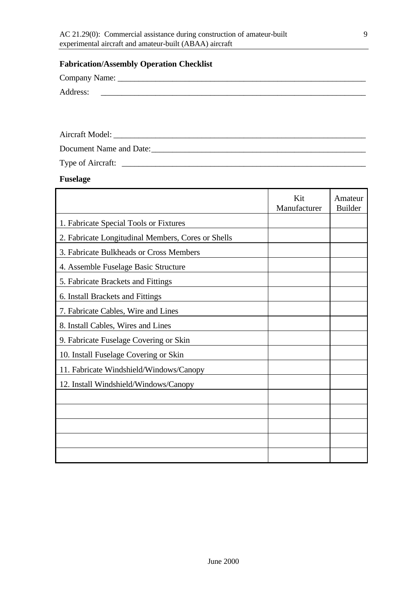#### **Fabrication/Assembly Operation Checklist**

Company Name: \_\_\_\_\_\_\_\_\_\_\_\_\_\_\_\_\_\_\_\_\_\_\_\_\_\_\_\_\_\_\_\_\_\_\_\_\_\_\_\_\_\_\_\_\_\_\_\_\_\_\_\_\_\_\_\_\_\_\_

Address:

Aircraft Model: \_\_\_\_\_\_\_\_\_\_\_\_\_\_\_\_\_\_\_\_\_\_\_\_\_\_\_\_\_\_\_\_\_\_\_\_\_\_\_\_\_\_\_\_\_\_\_\_\_\_\_\_\_\_\_\_\_\_\_\_

Document Name and Date:\_\_\_\_\_\_\_\_\_\_\_\_\_\_\_\_\_\_\_\_\_\_\_\_\_\_\_\_\_\_\_\_\_\_\_\_\_\_\_\_\_\_\_\_\_\_\_\_\_\_\_

Type of Aircraft: \_\_\_\_\_\_\_\_\_\_\_\_\_\_\_\_\_\_\_\_\_\_\_\_\_\_\_\_\_\_\_\_\_\_\_\_\_\_\_\_\_\_\_\_\_\_\_\_\_\_\_\_\_\_\_\_\_\_

**Fuselage**

|                                                    | Kit<br>Manufacturer | Amateur<br><b>Builder</b> |
|----------------------------------------------------|---------------------|---------------------------|
| 1. Fabricate Special Tools or Fixtures             |                     |                           |
| 2. Fabricate Longitudinal Members, Cores or Shells |                     |                           |
| 3. Fabricate Bulkheads or Cross Members            |                     |                           |
| 4. Assemble Fuselage Basic Structure               |                     |                           |
| 5. Fabricate Brackets and Fittings                 |                     |                           |
| 6. Install Brackets and Fittings                   |                     |                           |
| 7. Fabricate Cables, Wire and Lines                |                     |                           |
| 8. Install Cables, Wires and Lines                 |                     |                           |
| 9. Fabricate Fuselage Covering or Skin             |                     |                           |
| 10. Install Fuselage Covering or Skin              |                     |                           |
| 11. Fabricate Windshield/Windows/Canopy            |                     |                           |
| 12. Install Windshield/Windows/Canopy              |                     |                           |
|                                                    |                     |                           |
|                                                    |                     |                           |
|                                                    |                     |                           |
|                                                    |                     |                           |
|                                                    |                     |                           |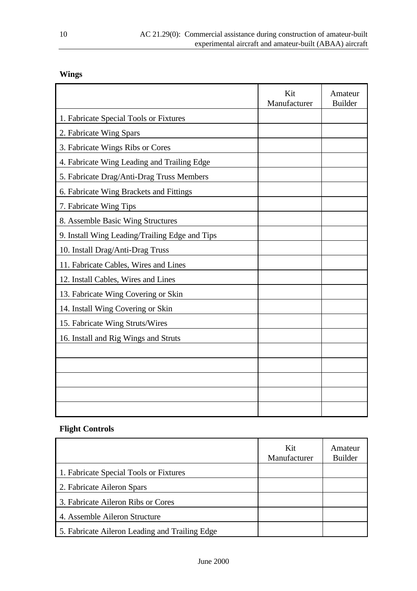### **Wings**

|                                                | Kit<br>Manufacturer | Amateur<br><b>Builder</b> |
|------------------------------------------------|---------------------|---------------------------|
| 1. Fabricate Special Tools or Fixtures         |                     |                           |
| 2. Fabricate Wing Spars                        |                     |                           |
| 3. Fabricate Wings Ribs or Cores               |                     |                           |
| 4. Fabricate Wing Leading and Trailing Edge    |                     |                           |
| 5. Fabricate Drag/Anti-Drag Truss Members      |                     |                           |
| 6. Fabricate Wing Brackets and Fittings        |                     |                           |
| 7. Fabricate Wing Tips                         |                     |                           |
| 8. Assemble Basic Wing Structures              |                     |                           |
| 9. Install Wing Leading/Trailing Edge and Tips |                     |                           |
| 10. Install Drag/Anti-Drag Truss               |                     |                           |
| 11. Fabricate Cables, Wires and Lines          |                     |                           |
| 12. Install Cables, Wires and Lines            |                     |                           |
| 13. Fabricate Wing Covering or Skin            |                     |                           |
| 14. Install Wing Covering or Skin              |                     |                           |
| 15. Fabricate Wing Struts/Wires                |                     |                           |
| 16. Install and Rig Wings and Struts           |                     |                           |
|                                                |                     |                           |
|                                                |                     |                           |
|                                                |                     |                           |
|                                                |                     |                           |
|                                                |                     |                           |

#### **Flight Controls**

|                                                | Kit<br>Manufacturer | Amateur<br><b>Builder</b> |
|------------------------------------------------|---------------------|---------------------------|
| 1. Fabricate Special Tools or Fixtures         |                     |                           |
| 2. Fabricate Aileron Spars                     |                     |                           |
| 3. Fabricate Aileron Ribs or Cores             |                     |                           |
| 4. Assemble Aileron Structure                  |                     |                           |
| 5. Fabricate Aileron Leading and Trailing Edge |                     |                           |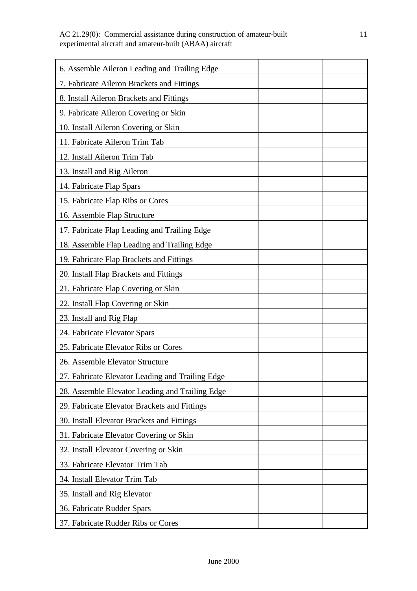| 6. Assemble Aileron Leading and Trailing Edge    |
|--------------------------------------------------|
| 7. Fabricate Aileron Brackets and Fittings       |
| 8. Install Aileron Brackets and Fittings         |
| 9. Fabricate Aileron Covering or Skin            |
| 10. Install Aileron Covering or Skin             |
| 11. Fabricate Aileron Trim Tab                   |
| 12. Install Aileron Trim Tab                     |
| 13. Install and Rig Aileron                      |
| 14. Fabricate Flap Spars                         |
| 15. Fabricate Flap Ribs or Cores                 |
| 16. Assemble Flap Structure                      |
| 17. Fabricate Flap Leading and Trailing Edge     |
| 18. Assemble Flap Leading and Trailing Edge      |
| 19. Fabricate Flap Brackets and Fittings         |
| 20. Install Flap Brackets and Fittings           |
| 21. Fabricate Flap Covering or Skin              |
| 22. Install Flap Covering or Skin                |
| 23. Install and Rig Flap                         |
| 24. Fabricate Elevator Spars                     |
| 25. Fabricate Elevator Ribs or Cores             |
| 26. Assemble Elevator Structure                  |
| 27. Fabricate Elevator Leading and Trailing Edge |
| 28. Assemble Elevator Leading and Trailing Edge  |
| 29. Fabricate Elevator Brackets and Fittings     |
| 30. Install Elevator Brackets and Fittings       |
| 31. Fabricate Elevator Covering or Skin          |
| 32. Install Elevator Covering or Skin            |
| 33. Fabricate Elevator Trim Tab                  |
| 34. Install Elevator Trim Tab                    |
| 35. Install and Rig Elevator                     |
| 36. Fabricate Rudder Spars                       |
| 37. Fabricate Rudder Ribs or Cores               |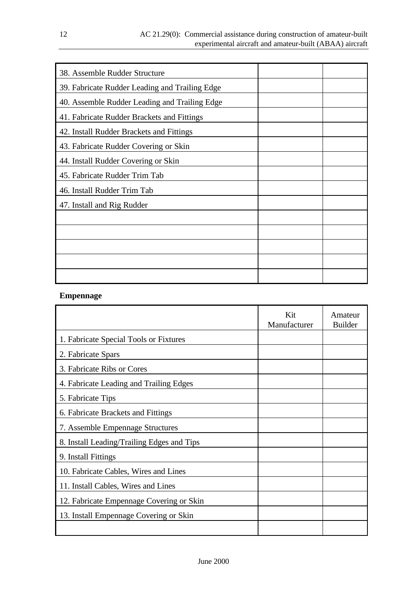| 38. Assemble Rudder Structure                  |  |
|------------------------------------------------|--|
| 39. Fabricate Rudder Leading and Trailing Edge |  |
| 40. Assemble Rudder Leading and Trailing Edge  |  |
| 41. Fabricate Rudder Brackets and Fittings     |  |
| 42. Install Rudder Brackets and Fittings       |  |
| 43. Fabricate Rudder Covering or Skin          |  |
| 44. Install Rudder Covering or Skin            |  |
| 45. Fabricate Rudder Trim Tab                  |  |
| 46. Install Rudder Trim Tab                    |  |
| 47. Install and Rig Rudder                     |  |
|                                                |  |
|                                                |  |
|                                                |  |
|                                                |  |
|                                                |  |

#### **Empennage**

|                                            | Kit<br>Manufacturer | Amateur<br><b>Builder</b> |
|--------------------------------------------|---------------------|---------------------------|
| 1. Fabricate Special Tools or Fixtures     |                     |                           |
| 2. Fabricate Spars                         |                     |                           |
| 3. Fabricate Ribs or Cores                 |                     |                           |
| 4. Fabricate Leading and Trailing Edges    |                     |                           |
| 5. Fabricate Tips                          |                     |                           |
| 6. Fabricate Brackets and Fittings         |                     |                           |
| 7. Assemble Empennage Structures           |                     |                           |
| 8. Install Leading/Trailing Edges and Tips |                     |                           |
| 9. Install Fittings                        |                     |                           |
| 10. Fabricate Cables, Wires and Lines      |                     |                           |
| 11. Install Cables, Wires and Lines        |                     |                           |
| 12. Fabricate Empennage Covering or Skin   |                     |                           |
| 13. Install Empennage Covering or Skin     |                     |                           |
|                                            |                     |                           |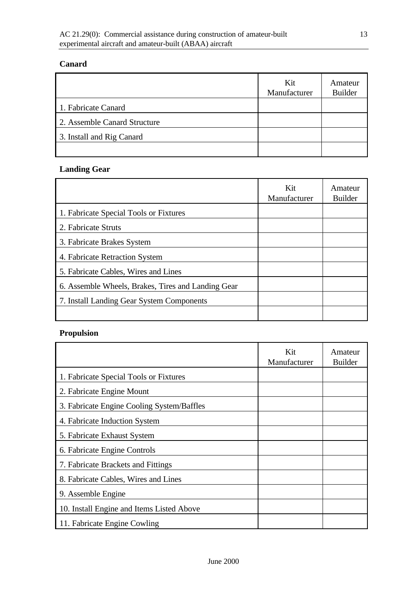#### **Canard**

|                              | Kit<br>Manufacturer | Amateur<br><b>Builder</b> |
|------------------------------|---------------------|---------------------------|
| 1. Fabricate Canard          |                     |                           |
| 2. Assemble Canard Structure |                     |                           |
| 3. Install and Rig Canard    |                     |                           |
|                              |                     |                           |

#### **Landing Gear**

|                                                    | Kit<br>Manufacturer | Amateur<br><b>Builder</b> |
|----------------------------------------------------|---------------------|---------------------------|
| 1. Fabricate Special Tools or Fixtures             |                     |                           |
| 2. Fabricate Struts                                |                     |                           |
| 3. Fabricate Brakes System                         |                     |                           |
| 4. Fabricate Retraction System                     |                     |                           |
| 5. Fabricate Cables, Wires and Lines               |                     |                           |
| 6. Assemble Wheels, Brakes, Tires and Landing Gear |                     |                           |
| 7. Install Landing Gear System Components          |                     |                           |
|                                                    |                     |                           |

#### **Propulsion**

|                                            | Kit<br>Manufacturer | Amateur<br><b>Builder</b> |
|--------------------------------------------|---------------------|---------------------------|
| 1. Fabricate Special Tools or Fixtures     |                     |                           |
| 2. Fabricate Engine Mount                  |                     |                           |
| 3. Fabricate Engine Cooling System/Baffles |                     |                           |
| 4. Fabricate Induction System              |                     |                           |
| 5. Fabricate Exhaust System                |                     |                           |
| 6. Fabricate Engine Controls               |                     |                           |
| 7. Fabricate Brackets and Fittings         |                     |                           |
| 8. Fabricate Cables, Wires and Lines       |                     |                           |
| 9. Assemble Engine                         |                     |                           |
| 10. Install Engine and Items Listed Above  |                     |                           |
| 11. Fabricate Engine Cowling               |                     |                           |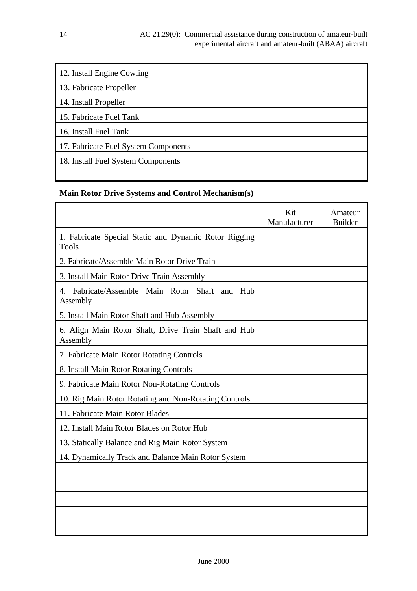| 12. Install Engine Cowling           |  |
|--------------------------------------|--|
| 13. Fabricate Propeller              |  |
| 14. Install Propeller                |  |
| 15. Fabricate Fuel Tank              |  |
| 16. Install Fuel Tank                |  |
| 17. Fabricate Fuel System Components |  |
| 18. Install Fuel System Components   |  |
|                                      |  |

#### **Main Rotor Drive Systems and Control Mechanism(s)**

|                                                                                 | Kit<br>Manufacturer | Amateur<br><b>Builder</b> |
|---------------------------------------------------------------------------------|---------------------|---------------------------|
| 1. Fabricate Special Static and Dynamic Rotor Rigging<br><b>Tools</b>           |                     |                           |
| 2. Fabricate/Assemble Main Rotor Drive Train                                    |                     |                           |
| 3. Install Main Rotor Drive Train Assembly                                      |                     |                           |
| Fabricate/Assemble Main Rotor Shaft<br>4 <sup>1</sup><br>and<br>Hub<br>Assembly |                     |                           |
| 5. Install Main Rotor Shaft and Hub Assembly                                    |                     |                           |
| 6. Align Main Rotor Shaft, Drive Train Shaft and Hub<br>Assembly                |                     |                           |
| 7. Fabricate Main Rotor Rotating Controls                                       |                     |                           |
| 8. Install Main Rotor Rotating Controls                                         |                     |                           |
| 9. Fabricate Main Rotor Non-Rotating Controls                                   |                     |                           |
| 10. Rig Main Rotor Rotating and Non-Rotating Controls                           |                     |                           |
| 11. Fabricate Main Rotor Blades                                                 |                     |                           |
| 12. Install Main Rotor Blades on Rotor Hub                                      |                     |                           |
| 13. Statically Balance and Rig Main Rotor System                                |                     |                           |
| 14. Dynamically Track and Balance Main Rotor System                             |                     |                           |
|                                                                                 |                     |                           |
|                                                                                 |                     |                           |
|                                                                                 |                     |                           |
|                                                                                 |                     |                           |
|                                                                                 |                     |                           |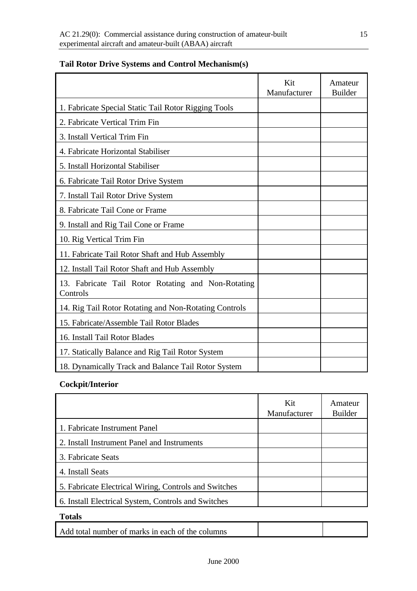|                                                                | Kit<br>Manufacturer | Amateur<br><b>Builder</b> |
|----------------------------------------------------------------|---------------------|---------------------------|
| 1. Fabricate Special Static Tail Rotor Rigging Tools           |                     |                           |
| 2. Fabricate Vertical Trim Fin                                 |                     |                           |
| 3. Install Vertical Trim Fin                                   |                     |                           |
| 4. Fabricate Horizontal Stabiliser                             |                     |                           |
| 5. Install Horizontal Stabiliser                               |                     |                           |
| 6. Fabricate Tail Rotor Drive System                           |                     |                           |
| 7. Install Tail Rotor Drive System                             |                     |                           |
| 8. Fabricate Tail Cone or Frame                                |                     |                           |
| 9. Install and Rig Tail Cone or Frame                          |                     |                           |
| 10. Rig Vertical Trim Fin                                      |                     |                           |
| 11. Fabricate Tail Rotor Shaft and Hub Assembly                |                     |                           |
| 12. Install Tail Rotor Shaft and Hub Assembly                  |                     |                           |
| 13. Fabricate Tail Rotor Rotating and Non-Rotating<br>Controls |                     |                           |
| 14. Rig Tail Rotor Rotating and Non-Rotating Controls          |                     |                           |
| 15. Fabricate/Assemble Tail Rotor Blades                       |                     |                           |
| 16. Install Tail Rotor Blades                                  |                     |                           |
| 17. Statically Balance and Rig Tail Rotor System               |                     |                           |
| 18. Dynamically Track and Balance Tail Rotor System            |                     |                           |

#### **Tail Rotor Drive Systems and Control Mechanism(s)**

#### **Cockpit/Interior**

|                                                       | Kit<br>Manufacturer | Amateur<br><b>Builder</b> |
|-------------------------------------------------------|---------------------|---------------------------|
| 1. Fabricate Instrument Panel                         |                     |                           |
| 2. Install Instrument Panel and Instruments           |                     |                           |
| 3. Fabricate Seats                                    |                     |                           |
| 4. Install Seats                                      |                     |                           |
| 5. Fabricate Electrical Wiring, Controls and Switches |                     |                           |
| 6. Install Electrical System, Controls and Switches   |                     |                           |

#### **Totals**

| Add total number of marks in each of the columns |  |
|--------------------------------------------------|--|
|                                                  |  |